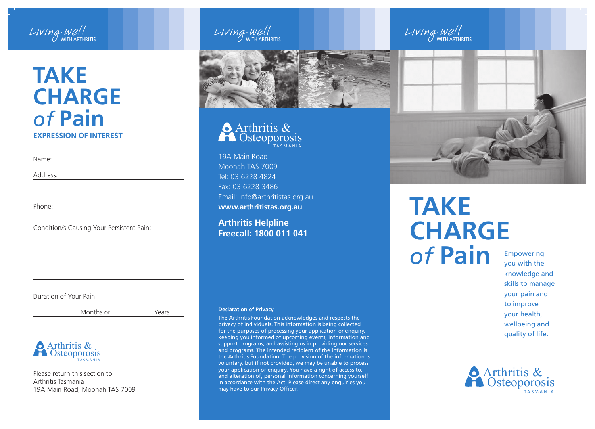

### **EXPRESSION OF INTEREST Take Charge** *of* **Pain**

Name:

Address:

Phone:

Condition/s Causing Your Persistent Pain:

Duration of Your Pain:

Months or **Years** 



Please return this section to: Arthritis Tasmania 19A Main Road, Moonah TAS 7009



T A S M A N I A Arthritis & **Osteoporosis** 

19A Main Road Moonah TAS 7009 Tel: 03 6228 4824 Fax: 03 6228 3486 Email: info@arthritistas.org.au **www.arthritistas.org.au**

**Arthritis Helpline Freecall: 1800 011 041**

#### **Declaration of Privacy**

The Arthritis Foundation acknowledges and respects the privacy of individuals. This information is being collected for the purposes of processing your application or enquiry, keeping you informed of upcoming events, information and support programs, and assisting us in providing our services and programs. The intended recipient of the information is the Arthritis Foundation. The provision of the information is voluntary, but if not provided, we may be unable to process your application or enquiry. You have a right of access to, and alteration of, personal information concerning yourself in accordance with the Act. Please direct any enquiries you may have to our Privacy Officer.





# **Take Charge** *of* **Pain**

Empowering you with the knowledge and skills to manage your pain and to improve your health, wellbeing and quality of life.